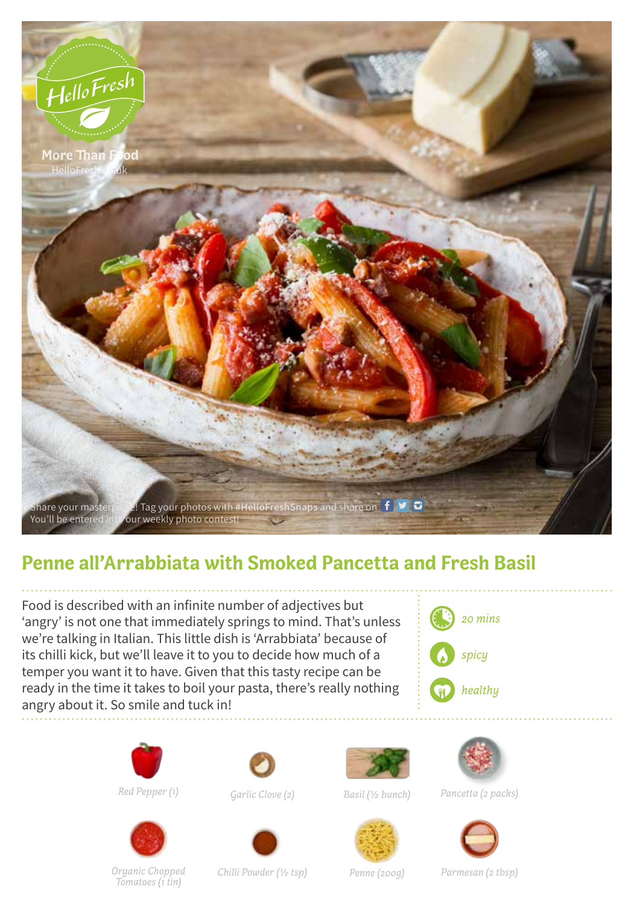

## **Penne all'Arrabbiata with Smoked Pancetta and Fresh Basil**

Food is described with an infinite number of adjectives but 'angry' is not one that immediately springs to mind. That's unless we're talking in Italian. This little dish is 'Arrabbiata' because of its chilli kick, but we'll leave it to you to decide how much of a temper you want it to have. Given that this tasty recipe can be ready in the time it takes to boil your pasta, there's really nothing angry about it. So smile and tuck in!









*Red Pepper (1) Garlic Clove (2) Basil (1/2 bunch)*



*Pancetta (2 packs)*







*Organic Chopped* 

*Tomatoes (1 tin) Chilli Powder (1/2 tsp) Penne (200g) Parmesan (2 tbsp)*